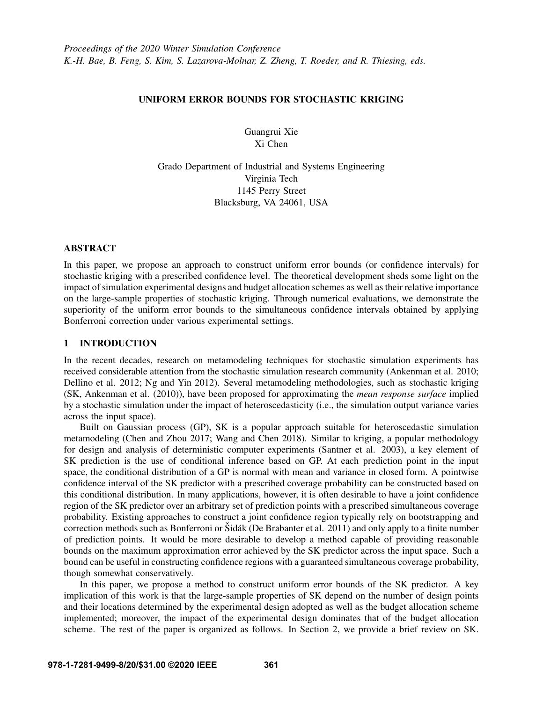# UNIFORM ERROR BOUNDS FOR STOCHASTIC KRIGING

Guangrui Xie Xi Chen

Grado Department of Industrial and Systems Engineering Virginia Tech 1145 Perry Street Blacksburg, VA 24061, USA

# ABSTRACT

In this paper, we propose an approach to construct uniform error bounds (or confidence intervals) for stochastic kriging with a prescribed confidence level. The theoretical development sheds some light on the impact of simulation experimental designs and budget allocation schemes as well as their relative importance on the large-sample properties of stochastic kriging. Through numerical evaluations, we demonstrate the superiority of the uniform error bounds to the simultaneous confidence intervals obtained by applying Bonferroni correction under various experimental settings.

# 1 INTRODUCTION

In the recent decades, research on metamodeling techniques for stochastic simulation experiments has received considerable attention from the stochastic simulation research community [\(Ankenman et al. 2010;](#page-11-0) [Dellino et al. 2012;](#page-11-1) [Ng and Yin 2012\)](#page-11-2). Several metamodeling methodologies, such as stochastic kriging (SK, [Ankenman et al. \(2010\)\)](#page-11-0), have been proposed for approximating the *mean response surface* implied by a stochastic simulation under the impact of heteroscedasticity (i.e., the simulation output variance varies across the input space).

Built on Gaussian process (GP), SK is a popular approach suitable for heteroscedastic simulation metamodeling [\(Chen and Zhou 2017;](#page-11-3) [Wang and Chen 2018\)](#page-11-4). Similar to kriging, a popular methodology for design and analysis of deterministic computer experiments [\(Santner et al. 2003\)](#page-11-5), a key element of SK prediction is the use of conditional inference based on GP. At each prediction point in the input space, the conditional distribution of a GP is normal with mean and variance in closed form. A pointwise confidence interval of the SK predictor with a prescribed coverage probability can be constructed based on this conditional distribution. In many applications, however, it is often desirable to have a joint confidence region of the SK predictor over an arbitrary set of prediction points with a prescribed simultaneous coverage probability. Existing approaches to construct a joint confidence region typically rely on bootstrapping and correction methods such as Bonferroni or  $\tilde{S}$ idák ([De Brabanter et al. 2011\)](#page-11-6) and only apply to a finite number of prediction points. It would be more desirable to develop a method capable of providing reasonable bounds on the maximum approximation error achieved by the SK predictor across the input space. Such a bound can be useful in constructing confidence regions with a guaranteed simultaneous coverage probability, though somewhat conservatively.

In this paper, we propose a method to construct uniform error bounds of the SK predictor. A key implication of this work is that the large-sample properties of SK depend on the number of design points and their locations determined by the experimental design adopted as well as the budget allocation scheme implemented; moreover, the impact of the experimental design dominates that of the budget allocation scheme. The rest of the paper is organized as follows. In Section [2,](#page-1-0) we provide a brief review on SK.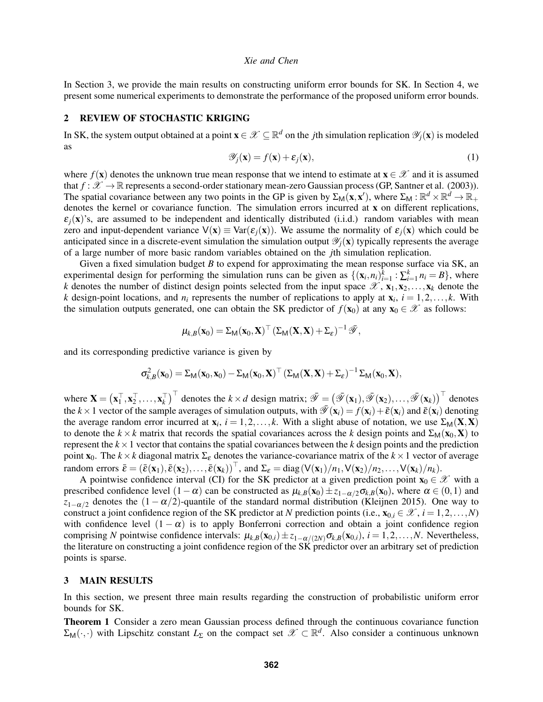In Section [3,](#page-1-1) we provide the main results on constructing uniform error bounds for SK. In Section [4,](#page-6-0) we present some numerical experiments to demonstrate the performance of the proposed uniform error bounds.

# <span id="page-1-0"></span>2 REVIEW OF STOCHASTIC KRIGING

In SK, the system output obtained at a point  $\mathbf{x} \in \mathcal{X} \subseteq \mathbb{R}^d$  on the *j*th simulation replication  $\mathcal{Y}_j(\mathbf{x})$  is modeled as

<span id="page-1-2"></span>
$$
\mathscr{Y}_j(\mathbf{x}) = f(\mathbf{x}) + \varepsilon_j(\mathbf{x}),\tag{1}
$$

where  $f(\mathbf{x})$  denotes the unknown true mean response that we intend to estimate at  $\mathbf{x} \in \mathcal{X}$  and it is assumed that  $f : \mathcal{X} \to \mathbb{R}$  represents a second-order stationary mean-zero Gaussian process (GP, [Santner et al. \(2003\)\)](#page-11-5). The spatial covariance between any two points in the GP is given by  $\Sigma_M(\mathbf{x}, \mathbf{x}')$ , where  $\Sigma_M : \mathbb{R}^d \times \mathbb{R}^d \to \mathbb{R}_+$ denotes the kernel or covariance function. The simulation errors incurred at x on different replications,  $\varepsilon_i(x)$ 's, are assumed to be independent and identically distributed (i.i.d.) random variables with mean zero and input-dependent variance  $V(x) \equiv Var(\varepsilon_i(x))$ . We assume the normality of  $\varepsilon_i(x)$  which could be anticipated since in a discrete-event simulation the simulation output  $\mathcal{Y}_i(\mathbf{x})$  typically represents the average of a large number of more basic random variables obtained on the *j*th simulation replication.

Given a fixed simulation budget *B* to expend for approximating the mean response surface via SK, an experimental design for performing the simulation runs can be given as  $\{(\mathbf{x}_i, n_i)\}_{i=1}^k : \sum_{i=1}^k n_i = B\}$ , where *k* denotes the number of distinct design points selected from the input space  $\mathscr{X}, \mathbf{x}_1, \mathbf{x}_2, \ldots, \mathbf{x}_k$  denote the *k* design-point locations, and  $n_i$  represents the number of replications to apply at  $\mathbf{x}_i$ ,  $i = 1, 2, \dots, k$ . With the simulation outputs generated, one can obtain the SK predictor of  $f(\mathbf{x}_0)$  at any  $\mathbf{x}_0 \in \mathcal{X}$  as follows:

$$
\mu_{k,B}(\mathbf{x}_0) = \Sigma_{\mathsf{M}}(\mathbf{x}_0, \mathbf{X})^\top \left( \Sigma_{\mathsf{M}}(\mathbf{X}, \mathbf{X}) + \Sigma_{\varepsilon} \right)^{-1} \bar{\mathscr{Y}},
$$

and its corresponding predictive variance is given by

$$
\sigma_{k,B}^2(\mathbf{x}_0) = \Sigma_M(\mathbf{x}_0, \mathbf{x}_0) - \Sigma_M(\mathbf{x}_0, \mathbf{X})^\top (\Sigma_M(\mathbf{X}, \mathbf{X}) + \Sigma_{\varepsilon})^{-1} \Sigma_M(\mathbf{x}_0, \mathbf{X}),
$$

where  $\mathbf{X} = (\mathbf{x}_1^\top, \mathbf{x}_2^\top, \dots, \mathbf{x}_k^\top)^\top$  denotes the  $k \times d$  design matrix;  $\bar{\mathscr{Y}} = (\bar{\mathscr{Y}}(\mathbf{x}_1), \bar{\mathscr{Y}}(\mathbf{x}_2), \dots, \bar{\mathscr{Y}}(\mathbf{x}_k))^\top$  denotes the  $k \times 1$  vector of the sample averages of simulation outputs, with  $\overline{\mathscr{Y}}(x_i) = f(x_i) + \overline{\varepsilon}(x_i)$  and  $\overline{\varepsilon}(x_i)$  denoting the average random error incurred at  $x_i$ ,  $i = 1, 2, ..., k$ . With a slight abuse of notation, we use  $\Sigma_M(\mathbf{X}, \mathbf{X})$ to denote the  $k \times k$  matrix that records the spatial covariances across the *k* design points and  $\Sigma_M(\mathbf{x}_0, \mathbf{X})$  to represent the  $k \times 1$  vector that contains the spatial covariances between the  $k$  design points and the prediction point  $\mathbf{x}_0$ . The  $k \times k$  diagonal matrix  $\Sigma_{\varepsilon}$  denotes the variance-covariance matrix of the  $k \times 1$  vector of average random errors  $\bar{\mathbf{\varepsilon}} = (\bar{\mathbf{\varepsilon}}(\mathbf{x}_1), \bar{\mathbf{\varepsilon}}(\mathbf{x}_2), \dots, \bar{\mathbf{\varepsilon}}(\mathbf{x}_k))^{\top}$ , and  $\Sigma_{\varepsilon} = \text{diag}(V(\mathbf{x}_1)/n_1, V(\mathbf{x}_2)/n_2, \dots, V(\mathbf{x}_k)/n_k)$ .

A pointwise confidence interval (CI) for the SK predictor at a given prediction point  $\mathbf{x}_0 \in \mathcal{X}$  with a prescribed confidence level  $(1 - \alpha)$  can be constructed as  $\mu_{k,B}(\mathbf{x}_0) \pm z_{1-\alpha/2} \sigma_{k,B}(\mathbf{x}_0)$ , where  $\alpha \in (0,1)$  and  $z_{1-\alpha/2}$  denotes the  $(1-\alpha/2)$ -quantile of the standard normal distribution [\(Kleijnen 2015\)](#page-11-7). One way to construct a joint confidence region of the SK predictor at *N* prediction points (i.e.,  $\mathbf{x}_{0,i} \in \mathcal{X}, i = 1,2,...,N$ ) with confidence level  $(1 - \alpha)$  is to apply Bonferroni correction and obtain a joint confidence region comprising *N* pointwise confidence intervals:  $\mu_{k,B}(\mathbf{x}_{0,i}) \pm z_{1-\alpha/(2N)} \sigma_{k,B}(\mathbf{x}_{0,i}), i = 1, 2, ..., N$ . Nevertheless, the literature on constructing a joint confidence region of the SK predictor over an arbitrary set of prediction points is sparse.

### <span id="page-1-1"></span>3 MAIN RESULTS

In this section, we present three main results regarding the construction of probabilistic uniform error bounds for SK.

<span id="page-1-3"></span>Theorem 1 Consider a zero mean Gaussian process defined through the continuous covariance function  $\Sigma_M(\cdot,\cdot)$  with Lipschitz constant  $L_{\Sigma}$  on the compact set  $\mathscr{X} \subset \mathbb{R}^d$ . Also consider a continuous unknown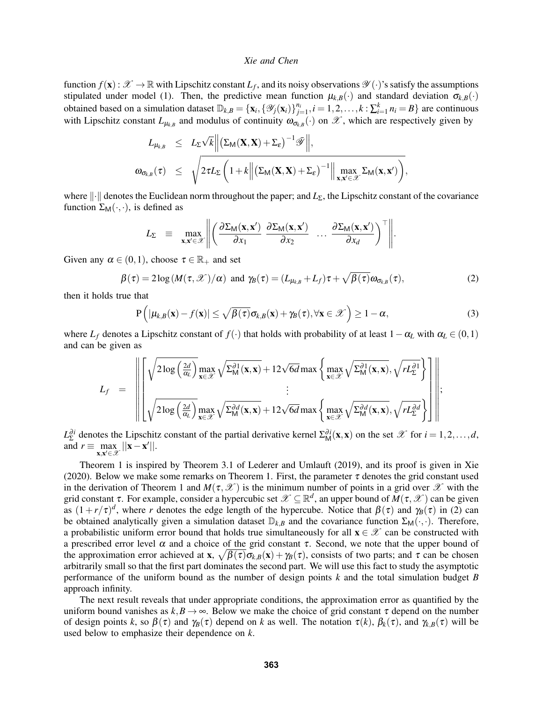function  $f(\mathbf{x}): \mathcal{X} \to \mathbb{R}$  with Lipschitz constant  $L_f$ , and its noisy observations  $\mathcal{Y}(\cdot)$ 's satisfy the assumptions stipulated under model [\(1\)](#page-1-2). Then, the predictive mean function  $\mu_{k,B}(\cdot)$  and standard deviation  $\sigma_{k,B}(\cdot)$ obtained based on a simulation dataset  $\mathbb{D}_{k,B} = {\mathbf{x}_i, {\mathcal{Y}_j(\mathbf{x}_i)}_{j=1}^{n_i}}, i = 1,2,\ldots,k : \sum_{i=1}^{k} n_i = B}$  are continuous with Lipschitz constant  $L_{\mu_{k,B}}$  and modulus of continuity  $\omega_{\sigma_{k,B}}(\cdot)$  on  $\mathscr{X}$ , which are respectively given by

$$
L_{\mu_{k,B}} \leq L_{\Sigma} \sqrt{k} \Big\| \big(\Sigma_{M}(\mathbf{X}, \mathbf{X}) + \Sigma_{\varepsilon}\big)^{-1} \overline{\mathscr{Y}} \Big\|,
$$
  

$$
\omega_{\sigma_{k,B}}(\tau) \leq \sqrt{2\tau L_{\Sigma} \bigg(1 + k \Big\| \big(\Sigma_{M}(\mathbf{X}, \mathbf{X}) + \Sigma_{\varepsilon}\big)^{-1} \Big\| \max_{\mathbf{x}, \mathbf{x}' \in \mathscr{X}} \Sigma_{M}(\mathbf{x}, \mathbf{x}')\bigg)},
$$

where  $\|\cdot\|$  denotes the Euclidean norm throughout the paper; and *L*<sub>Σ</sub>, the Lipschitz constant of the covariance function  $\Sigma_M(\cdot,\cdot)$ , is defined as

$$
L_{\Sigma} = \max_{\mathbf{x}, \mathbf{x}' \in \mathscr{X}} \left\| \left( \frac{\partial \Sigma_{\mathsf{M}}(\mathbf{x}, \mathbf{x}')}{\partial x_1} \frac{\partial \Sigma_{\mathsf{M}}(\mathbf{x}, \mathbf{x}')}{\partial x_2} \cdots \frac{\partial \Sigma_{\mathsf{M}}(\mathbf{x}, \mathbf{x}')}{\partial x_d} \right)^{\top} \right\|.
$$

Given any  $\alpha \in (0,1)$ , choose  $\tau \in \mathbb{R}_+$  and set

<span id="page-2-0"></span>
$$
\beta(\tau) = 2\log(M(\tau,\mathscr{X})/\alpha) \text{ and } \gamma_B(\tau) = (L_{\mu_{k,B}} + L_f)\tau + \sqrt{\beta(\tau)}\omega_{\sigma_{k,B}}(\tau),
$$
\n(2)

then it holds true that

<span id="page-2-1"></span>
$$
P(|\mu_{k,B}(\mathbf{x}) - f(\mathbf{x})| \leq \sqrt{\beta(\tau)} \sigma_{k,B}(\mathbf{x}) + \gamma_B(\tau), \forall \mathbf{x} \in \mathscr{X}\big) \geq 1 - \alpha,
$$
\n(3)

where  $L_f$  denotes a Lipschitz constant of  $f(\cdot)$  that holds with probability of at least  $1-\alpha_L$  with  $\alpha_L \in (0,1)$ and can be given as

$$
L_f = \left\| \begin{bmatrix} \sqrt{2 \log \left(\frac{2d}{\alpha_L}\right)} \max_{\mathbf{x} \in \mathscr{X}} \sqrt{\Sigma_M^{\partial 1}(\mathbf{x}, \mathbf{x})} + 12 \sqrt{6d} \max \left\{ \max_{\mathbf{x} \in \mathscr{X}} \sqrt{\Sigma_M^{\partial 1}(\mathbf{x}, \mathbf{x})}, \sqrt{r L_{\Sigma}^{\partial 1}} \right\} \\ \vdots \\ \sqrt{2 \log \left(\frac{2d}{\alpha_L}\right)} \max_{\mathbf{x} \in \mathscr{X}} \sqrt{\Sigma_M^{\partial d}(\mathbf{x}, \mathbf{x})} + 12 \sqrt{6d} \max \left\{ \max_{\mathbf{x} \in \mathscr{X}} \sqrt{\Sigma_M^{\partial d}(\mathbf{x}, \mathbf{x})}, \sqrt{r L_{\Sigma}^{\partial d}} \right\} \end{bmatrix} \right\|;
$$

 $L_{\Sigma}^{\partial i}$  denotes the Lipschitz constant of the partial derivative kernel  $\Sigma_{\mathsf{M}}^{\partial i}(\mathbf{x}, \mathbf{x})$  on the set  $\mathscr{X}$  for  $i = 1, 2, ..., d$ , and  $r \equiv \max_{\mathbf{x}, \mathbf{x}' \in \mathcal{X}} ||\mathbf{x} - \mathbf{x}'||$ .

Theorem [1](#page-1-3) is inspired by Theorem 3.1 of [Lederer and Umlauft \(2019\),](#page-11-8) and its proof is given in [Xie](#page-11-9) [\(2020\).](#page-11-9) Below we make some remarks on Theorem [1.](#page-1-3) First, the parameter  $\tau$  denotes the grid constant used in the derivation of Theorem [1](#page-1-3) and  $M(\tau,\mathscr{X})$  is the minimum number of points in a grid over  $\mathscr{X}$  with the grid constant  $\tau$ . For example, consider a hypercubic set  $\mathscr{X} \subseteq \mathbb{R}^d$ , an upper bound of  $M(\tau,\mathscr{X})$  can be given as  $(1 + r/\tau)^d$ , where *r* denotes the edge length of the hypercube. Notice that  $\beta(\tau)$  and  $\gamma_B(\tau)$  in [\(2\)](#page-2-0) can be obtained analytically given a simulation dataset  $\mathbb{D}_{k,B}$  and the covariance function  $\Sigma_M(\cdot,\cdot)$ . Therefore, a probabilistic uniform error bound that holds true simultaneously for all  $\mathbf{x} \in \mathcal{X}$  can be constructed with a prescribed error level  $\alpha$  and a choice of the grid constant  $\tau$ . Second, we note that the upper bound of the approximation error achieved at  $\mathbf{x}$ ,  $\sqrt{\beta(\tau)}\sigma_{k,B}(\mathbf{x}) + \gamma_B(\tau)$ , consists of two parts; and  $\tau$  can be chosen arbitrarily small so that the first part dominates the second part. We will use this fact to study the asymptotic performance of the uniform bound as the number of design points *k* and the total simulation budget *B* approach infinity.

The next result reveals that under appropriate conditions, the approximation error as quantified by the uniform bound vanishes as  $k, B \to \infty$ . Below we make the choice of grid constant  $\tau$  depend on the number of design points *k*, so  $\beta(\tau)$  and  $\gamma_B(\tau)$  depend on *k* as well. The notation  $\tau(k)$ ,  $\beta_k(\tau)$ , and  $\gamma_{k,B}(\tau)$  will be used below to emphasize their dependence on *k*.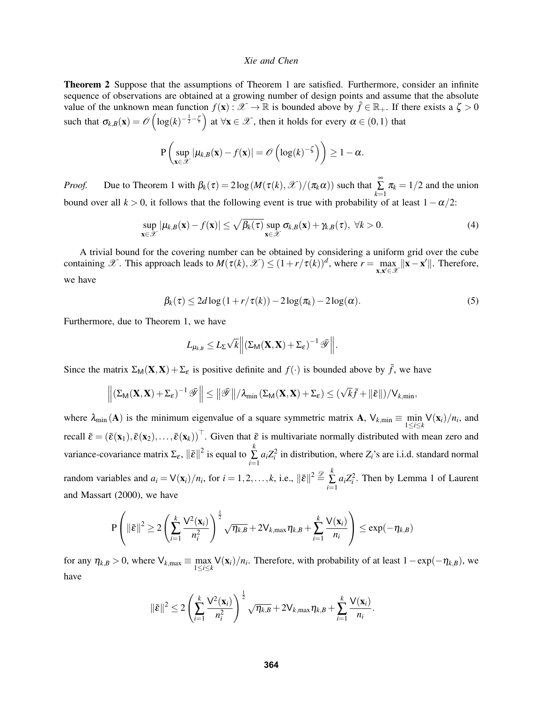<span id="page-3-3"></span>Theorem 2 Suppose that the assumptions of Theorem [1](#page-1-3) are satisfied. Furthermore, consider an infinite sequence of observations are obtained at a growing number of design points and assume that the absolute value of the unknown mean function  $f(\mathbf{x}) : \mathcal{X} \to \mathbb{R}$  is bounded above by  $\bar{f} \in \mathbb{R}_+$ . If there exists a  $\zeta > 0$ such that  $\sigma_{k,B}(\mathbf{x}) = \mathcal{O}\left(\log(k)^{-\frac{1}{2}-\zeta}\right)$  at  $\forall \mathbf{x} \in \mathcal{X}$ , then it holds for every  $\alpha \in (0,1)$  that

$$
\mathbf{P}\left(\sup_{\mathbf{x}\in\mathscr{X}}|\mu_{k,B}(\mathbf{x})-f(\mathbf{x})|=\mathscr{O}\left(\log(k)^{-\zeta}\right)\right)\geq 1-\alpha.
$$

*Proof.* Due to Theorem [1](#page-1-3) with  $\beta_k(\tau) = 2\log(M(\tau(k), \mathcal{X})/(\pi_k \alpha))$  such that  $\sum_{k=1}^{\infty}$  $\sum_{k=1} \pi_k = 1/2$  and the union bound over all  $k > 0$ , it follows that the following event is true with probability of at least  $1 - \alpha/2$ :

<span id="page-3-0"></span>
$$
\sup_{\mathbf{x}\in\mathcal{X}}|\mu_{k,B}(\mathbf{x})-f(\mathbf{x})|\leq \sqrt{\beta_k(\tau)}\sup_{\mathbf{x}\in\mathcal{X}}\sigma_{k,B}(\mathbf{x})+\gamma_{k,B}(\tau),\ \forall k>0.
$$
\n(4)

A trivial bound for the covering number can be obtained by considering a uniform grid over the cube containing X. This approach leads to  $M(\tau(k), \mathcal{X}) \le (1 + r/\tau(k))^d$ , where  $r = \max_{\mathbf{x}, \mathbf{x}' \in \mathcal{X}} ||\mathbf{x} - \mathbf{x}'||$ . Therefore, we have

<span id="page-3-2"></span>
$$
\beta_k(\tau) \le 2d \log \left(1 + r/\tau(k)\right) - 2\log(\pi_k) - 2\log(\alpha). \tag{5}
$$

Furthermore, due to Theorem [1,](#page-1-3) we have

<span id="page-3-1"></span>
$$
L_{\mu_{k,B}} \leq L_{\Sigma} \sqrt{k} \Big\| (\Sigma_{\mathsf{M}}(\mathbf{X}, \mathbf{X}) + \Sigma_{\varepsilon})^{-1} \mathscr{T} \Big\|.
$$

Since the matrix  $\Sigma_M(\mathbf{X}, \mathbf{X}) + \Sigma_{\varepsilon}$  is positive definite and  $f(\cdot)$  is bounded above by  $\bar{f}$ , we have

$$
\left\| \left( \Sigma_M(\mathbf{X},\mathbf{X}) + \Sigma_\epsilon \right)^{-1} \bar{\mathscr{Y}} \right\| \leq \left\| \bar{\mathscr{Y}} \right\| / \lambda_{min} \left( \Sigma_M(\mathbf{X},\mathbf{X}) + \Sigma_\epsilon \right) \leq (\sqrt{k} \bar{f} + \left\| \bar{\epsilon} \right\|) / V_{k,min},
$$

where  $\lambda_{\min}(\mathbf{A})$  is the minimum eigenvalue of a square symmetric matrix  $\mathbf{A}$ ,  $\mathsf{V}_{k,\min} \equiv \min_{1 \le i \le k} \mathsf{V}(\mathbf{x}_i)/n_i$ , and recall  $\bar{\varepsilon} = (\bar{\varepsilon}(\mathbf{x}_1), \bar{\varepsilon}(\mathbf{x}_2), \dots, \bar{\varepsilon}(\mathbf{x}_k))^{\top}$ . Given that  $\bar{\varepsilon}$  is multivariate normally distributed with mean zero and variance-covariance matrix  $\Sigma_{\varepsilon}$ ,  $\|\bar{\varepsilon}\|^2$  is equal to  $\sum_{k=1}^{k}$  $\sum_{i=1}^{8} a_i Z_i^2$  in distribution, where  $Z_i$ 's are i.i.d. standard normal random variables and  $a_i = \sqrt{x_i}/n_i$ , for  $i = 1, 2, ..., k$ , i.e.,  $\|\bar{\varepsilon}\|^2 \stackrel{\mathscr{D}}{=} \sum_{i=1}^k$  $\sum_{i=1}^{6} a_i Z_i^2$ . Then by Lemma 1 of [Laurent](#page-11-10) [and Massart \(2000\),](#page-11-10) we have

$$
\mathrm{P}\left(\|\bar{\varepsilon}\|^2 \geq 2\left(\sum_{i=1}^k \frac{\mathsf{V}^2(\mathbf{x}_i)}{n_i^2}\right)^{\frac{1}{2}} \sqrt{\eta_{k,B}} + 2\mathsf{V}_{k,\max}\eta_{k,B} + \sum_{i=1}^k \frac{\mathsf{V}(\mathbf{x}_i)}{n_i}\right) \leq \exp(-\eta_{k,B})
$$

for any  $\eta_{k,B} > 0$ , where  $\bigvee_{k,\max} \equiv \max_{1 \le i \le k} \bigvee(\mathbf{x}_i)/n_i$ . Therefore, with probability of at least  $1 - \exp(-\eta_{k,B})$ , we have

$$
\|\bar{\varepsilon}\|^2 \leq 2\left(\sum_{i=1}^k \frac{\mathsf{V}^2(\mathbf{x}_i)}{n_i^2}\right)^{\frac{1}{2}} \sqrt{\eta_{k,B}} + 2\mathsf{V}_{k,\max}\eta_{k,B} + \sum_{i=1}^k \frac{\mathsf{V}(\mathbf{x}_i)}{n_i}.
$$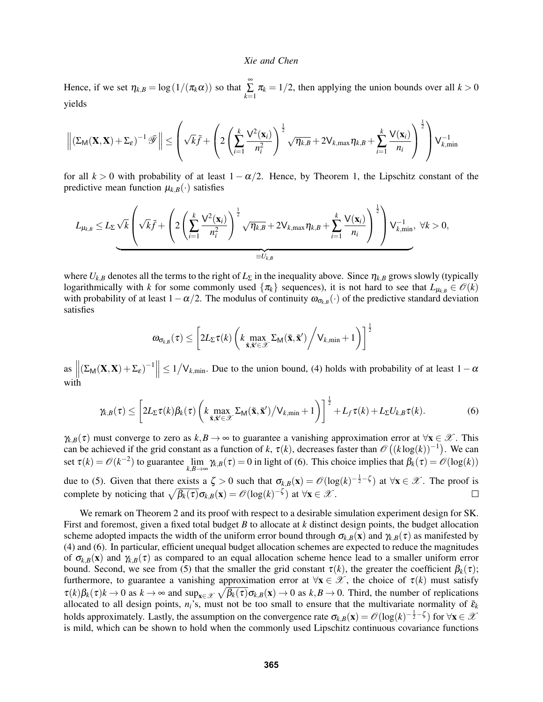Hence, if we set  $\eta_{k,B} = \log(1/(\pi_k \alpha))$  so that  $\sum_{k=1}^{\infty}$  $\sum_{k=1}$   $\pi_k = 1/2$ , then applying the union bounds over all  $k > 0$ yields

$$
\left\| \left( \Sigma_{\mathsf{M}}(\mathbf{X}, \mathbf{X}) + \Sigma_{\varepsilon} \right)^{-1} \bar{\mathscr{Y}} \right\| \leq \left( \sqrt{k} \bar{f} + \left( 2 \left( \sum_{i=1}^k \frac{\mathsf{V}^2(\mathbf{x}_i)}{n_i^2} \right)^{\frac{1}{2}} \sqrt{\eta_{k,B}} + 2 \mathsf{V}_{k,\max} \eta_{k,B} + \sum_{i=1}^k \frac{\mathsf{V}(\mathbf{x}_i)}{n_i} \right)^{\frac{1}{2}} \right) \mathsf{V}_{k,\min}^{-1}
$$

for all  $k > 0$  with probability of at least  $1 - \alpha/2$ . Hence, by Theorem [1,](#page-1-3) the Lipschitz constant of the predictive mean function  $\mu_{k,B}(\cdot)$  satisfies

$$
L_{\mu_{k,B}} \leq L_{\Sigma}\sqrt{k}\left(\sqrt{k}\bar{f}+\left(2\left(\sum_{i=1}^k\frac{\mathsf{V}^2(\mathbf{x}_i)}{n_i^2}\right)^{\frac{1}{2}}\sqrt{\eta_{k,B}}+2\mathsf{V}_{k,\max}\eta_{k,B}+\sum_{i=1}^k\frac{\mathsf{V}(\mathbf{x}_i)}{n_i}\right)^{\frac{1}{2}}\right)\mathsf{V}_{k,\min}^{-1},\ \forall k>0,
$$

where  $U_{k,B}$  denotes all the terms to the right of  $L_{\Sigma}$  in the inequality above. Since  $\eta_{k,B}$  grows slowly (typically logarithmically with *k* for some commonly used  $\{\pi_k\}$  sequences), it is not hard to see that  $L_{\mu_{k,B}} \in \mathcal{O}(k)$ with probability of at least  $1-\alpha/2$ . The modulus of continuity  $\omega_{\sigma_{k,B}}(\cdot)$  of the predictive standard deviation satisfies

$$
\boldsymbol{\omega}_{\sigma_{k,B}}(\tau) \leq \left[2L_\Sigma \tau(k)\left(k \max_{\tilde{\mathbf{x}}, \tilde{\mathbf{x}}' \in \mathscr{X}}\Sigma_\mathsf{M}(\tilde{\mathbf{x}}, \tilde{\mathbf{x}}')\bigg/ \mathsf{V}_{k,\min} + 1\right)\right]^{\frac{1}{2}}
$$

as  $\left\| \left( \Sigma_M(\mathbf{X}, \mathbf{X}) + \Sigma_{\varepsilon} \right)^{-1} \right\| \leq 1/V_{k,\text{min}}$ . Due to the union bound, [\(4\)](#page-3-0) holds with probability of at least  $1-\alpha$ with

$$
\gamma_{k,B}(\tau) \leq \left[2L_{\Sigma}\tau(k)\beta_k(\tau)\left(k\max_{\tilde{\mathbf{x}},\tilde{\mathbf{x}}'\in\mathcal{X}}\Sigma_{\mathsf{M}}(\tilde{\mathbf{x}},\tilde{\mathbf{x}}')\big/\mathsf{V}_{k,\min}+1\right)\right]^{\frac{1}{2}} + L_f\tau(k) + L_{\Sigma}U_{k,B}\tau(k).
$$
\n(6)

 $\gamma_{k,B}(\tau)$  must converge to zero as  $k,B \to \infty$  to guarantee a vanishing approximation error at  $\forall x \in \mathcal{X}$ . This can be achieved if the grid constant as a function of k,  $\tau(k)$ , decreases faster than  $\mathcal{O}((k \log(k))^{-1})$ . We can set  $\tau(k) = \mathcal{O}(k^{-2})$  to guarantee  $\lim_{k,B\to\infty} \gamma_{k,B}(\tau) = 0$  in light of [\(6\)](#page-3-1). This choice implies that  $\beta_k(\tau) = \mathcal{O}(\log(k))$ due to [\(5\)](#page-3-2). Given that there exists a  $\zeta > 0$  such that  $\sigma_{k,B}(\mathbf{x}) = \mathcal{O}(\log(k)^{-\frac{1}{2}-\zeta})$  at  $\forall \mathbf{x} \in \mathcal{X}$ . The proof is complete by noticing that  $\sqrt{\beta_k(\tau)}\sigma_{k,B}(\mathbf{x}) = \mathscr{O}(\log(k)^{-\zeta})$  at  $\forall \mathbf{x} \in \mathscr{X}$ .  $\Box$ 

We remark on Theorem [2](#page-3-3) and its proof with respect to a desirable simulation experiment design for SK. First and foremost, given a fixed total budget *B* to allocate at *k* distinct design points, the budget allocation scheme adopted impacts the width of the uniform error bound through  $\sigma_{k,B}(x)$  and  $\gamma_{k,B}(\tau)$  as manifested by [\(4\)](#page-3-0) and [\(6\)](#page-3-1). In particular, efficient unequal budget allocation schemes are expected to reduce the magnitudes of  $\sigma_{k,B}(\mathbf{x})$  and  $\gamma_{k,B}(\tau)$  as compared to an equal allocation scheme hence lead to a smaller uniform error bound. Second, we see from [\(5\)](#page-3-2) that the smaller the grid constant  $\tau(k)$ , the greater the coefficient  $\beta_k(\tau)$ ; furthermore, to guarantee a vanishing approximation error at  $\forall x \in \mathcal{X}$ , the choice of  $\tau(k)$  must satisfy  $\tau(k)\beta_k(\tau)k \to 0$  as  $k \to \infty$  and  $\sup_{\mathbf{x}\in\mathcal{X}} \sqrt{\beta_k(\tau)} \sigma_{k,B}(\mathbf{x}) \to 0$  as  $k, B \to 0$ . Third, the number of replications allocated to all design points,  $n_i$ 's, must not be too small to ensure that the multivariate normality of  $\bar{\epsilon}_k$ holds approximately. Lastly, the assumption on the convergence rate  $\sigma_{k,B}(\mathbf{x}) = \mathcal{O}(\log(k)^{-\frac{1}{2}-\zeta})$  for  $\forall \mathbf{x} \in \mathcal{X}$ is mild, which can be shown to hold when the commonly used Lipschitz continuous covariance functions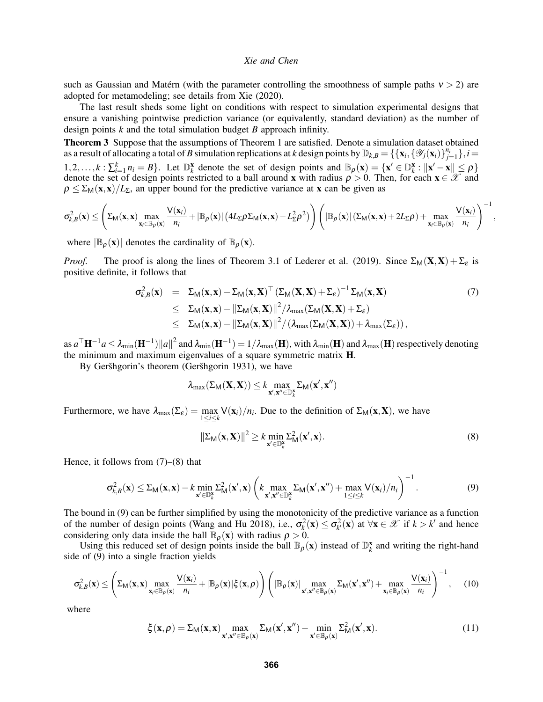such as Gaussian and Matérn (with the parameter controlling the smoothness of sample paths  $v > 2$ ) are adopted for metamodeling; see details from [Xie \(2020\).](#page-11-9)

The last result sheds some light on conditions with respect to simulation experimental designs that ensure a vanishing pointwise prediction variance (or equivalently, standard deviation) as the number of design points *k* and the total simulation budget *B* approach infinity.

<span id="page-5-5"></span>Theorem 3 Suppose that the assumptions of Theorem [1](#page-1-3) are satisfied. Denote a simulation dataset obtained as a result of allocating a total of *B* simulation replications at *k* design points by  $\mathbb{D}_{k,B} = \{\{\mathbf{x}_i, \{\mathscr{Y}_j(\mathbf{x}_i)\}_{j=1}^{n_i}\}, i =$ 1,2,..., $k: \sum_{i=1}^{k} n_i = B$ . Let  $\mathbb{D}_{k}^{x}$  denote the set of design points and  $\mathbb{B}_{\rho}(\mathbf{x}) = \{\mathbf{x}' \in \mathbb{D}_{k}^{x}: ||\mathbf{x}' - \mathbf{x}|| \leq \rho\}$ denote the set of design points restricted to a ball around x with radius  $\rho > 0$ . Then, for each  $x \in \mathcal{X}$  and  $\rho \leq \sum_{M}(x,x)/L_{\Sigma}$ , an upper bound for the predictive variance at x can be given as

$$
\sigma_{k,B}^2(\mathbf{x}) \leq \left(\Sigma_M(\mathbf{x}, \mathbf{x}) \max_{\mathbf{x}_i \in \mathbb{B}_{\rho}(\mathbf{x})} \frac{\mathsf{V}(\mathbf{x}_i)}{n_i} + |\mathbb{B}_{\rho}(\mathbf{x})| \left(4L_{\Sigma} \rho \Sigma_M(\mathbf{x}, \mathbf{x}) - L_{\Sigma}^2 \rho^2\right)\right) \left(|\mathbb{B}_{\rho}(\mathbf{x})| \left(\Sigma_M(\mathbf{x}, \mathbf{x}) + 2L_{\Sigma} \rho\right) + \max_{\mathbf{x}_i \in \mathbb{B}_{\rho}(\mathbf{x})} \frac{\mathsf{V}(\mathbf{x}_i)}{n_i}\right)^{-1}
$$

where  $|\mathbb{B}_{\rho}(\mathbf{x})|$  denotes the cardinality of  $\mathbb{B}_{\rho}(\mathbf{x})$ .

*Proof.* The proof is along the lines of Theorem 3.1 of [Lederer et al. \(2019\).](#page-11-11) Since  $\Sigma_M(\mathbf{X}, \mathbf{X}) + \Sigma_{\varepsilon}$  is positive definite, it follows that

<span id="page-5-0"></span>
$$
\sigma_{k,B}^2(\mathbf{x}) = \Sigma_M(\mathbf{x}, \mathbf{x}) - \Sigma_M(\mathbf{x}, \mathbf{X})^\top (\Sigma_M(\mathbf{X}, \mathbf{X}) + \Sigma_{\varepsilon})^{-1} \Sigma_M(\mathbf{x}, \mathbf{X})
$$
(7)  
\n
$$
\leq \Sigma_M(\mathbf{x}, \mathbf{x}) - ||\Sigma_M(\mathbf{x}, \mathbf{X})||^2 / \lambda_{\max} (\Sigma_M(\mathbf{X}, \mathbf{X}) + \Sigma_{\varepsilon})
$$
  
\n
$$
\leq \Sigma_M(\mathbf{x}, \mathbf{x}) - ||\Sigma_M(\mathbf{x}, \mathbf{X})||^2 / (\lambda_{\max} (\Sigma_M(\mathbf{X}, \mathbf{X})) + \lambda_{\max} (\Sigma_{\varepsilon})),
$$

as  $a^\top \mathbf{H}^{-1}a \leq \lambda_{\min}(\mathbf{H}^{-1}) \|a\|^2$  and  $\lambda_{\min}(\mathbf{H}^{-1})=1/\lambda_{\max}(\mathbf{H}),$  with  $\lambda_{\min}(\mathbf{H})$  and  $\lambda_{\max}(\mathbf{H})$  respectively denoting the minimum and maximum eigenvalues of a square symmetric matrix H.

By Geršhgorin's theorem (Geršhgorin 1931), we have

$$
\lambda_{\max}(\Sigma_{\mathsf{M}}(\mathbf{X},\mathbf{X})) \leq k \max_{\mathbf{x}',\mathbf{x}'' \in \mathbb{D}_k^{\mathbf{x}}} \Sigma_{\mathsf{M}}(\mathbf{x}',\mathbf{x}'')
$$

Furthermore, we have  $\lambda_{\max}(\Sigma_{\varepsilon}) = \max_{1 \le i \le k} \frac{V(\mathbf{x}_i)}{n_i}$ . Due to the definition of  $\Sigma_M(\mathbf{x}, \mathbf{X})$ , we have

<span id="page-5-1"></span>
$$
\|\Sigma_{\mathsf{M}}(\mathbf{x}, \mathbf{X})\|^2 \ge k \min_{\mathbf{x}' \in \mathbb{D}_{k}^{\mathbf{x}}} \Sigma_{\mathsf{M}}^2(\mathbf{x}', \mathbf{x}).\tag{8}
$$

,

Hence, it follows from  $(7)$ – $(8)$  that

<span id="page-5-2"></span>
$$
\sigma_{k,B}^2(\mathbf{x}) \le \Sigma_M(\mathbf{x}, \mathbf{x}) - k \min_{\mathbf{x}' \in \mathbb{D}_k^{\mathbf{x}}} \Sigma_M^2(\mathbf{x}', \mathbf{x}) \left( k \max_{\mathbf{x}', \mathbf{x}'' \in \mathbb{D}_k^{\mathbf{x}}} \Sigma_M(\mathbf{x}', \mathbf{x}'') + \max_{1 \le i \le k} V(\mathbf{x}_i) / n_i \right)^{-1}.
$$
 (9)

The bound in [\(9\)](#page-5-2) can be further simplified by using the monotonicity of the predictive variance as a function of the number of design points [\(Wang and Hu 2018\)](#page-11-13), i.e.,  $\sigma_k^2(\mathbf{x}) \leq \sigma_k^2(\mathbf{x})$  at  $\forall \mathbf{x} \in \mathcal{X}$  if  $k > k'$  and hence considering only data inside the ball  $\mathbb{B}_{\rho}(\mathbf{x})$  with radius  $\rho > 0$ .

Using this reduced set of design points inside the ball  $\mathbb{B}_{\rho}(\mathbf{x})$  instead of  $\mathbb{D}_{k}^{x}$  and writing the right-hand side of [\(9\)](#page-5-2) into a single fraction yields

<span id="page-5-4"></span>
$$
\sigma_{k,B}^2(\mathbf{x}) \leq \left( \Sigma_M(\mathbf{x}, \mathbf{x}) \max_{\mathbf{x}_i \in \mathbb{B}_\rho(\mathbf{x})} \frac{\mathsf{V}(\mathbf{x}_i)}{n_i} + |\mathbb{B}_\rho(\mathbf{x})| \xi(\mathbf{x}, \rho) \right) \left( |\mathbb{B}_\rho(\mathbf{x})| \max_{\mathbf{x}', \mathbf{x}'' \in \mathbb{B}_\rho(\mathbf{x})} \Sigma_M(\mathbf{x}', \mathbf{x}'') + \max_{\mathbf{x}_i \in \mathbb{B}_\rho(\mathbf{x})} \frac{\mathsf{V}(\mathbf{x}_i)}{n_i} \right)^{-1}, \quad (10)
$$

where

<span id="page-5-3"></span>
$$
\xi(\mathbf{x},\rho) = \Sigma_{\mathsf{M}}(\mathbf{x},\mathbf{x}) \max_{\mathbf{x}',\mathbf{x}'' \in \mathbb{B}_{\rho}(\mathbf{x})} \Sigma_{\mathsf{M}}(\mathbf{x}',\mathbf{x}'') - \min_{\mathbf{x}' \in \mathbb{B}_{\rho}(\mathbf{x})} \Sigma_{\mathsf{M}}^2(\mathbf{x}',\mathbf{x}).
$$
\n(11)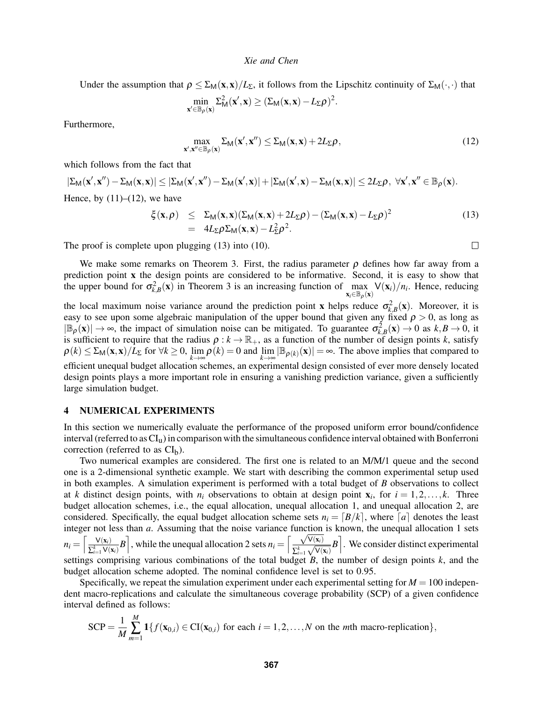Under the assumption that  $\rho \leq \sum_M(x,x)/L_{\Sigma}$ , it follows from the Lipschitz continuity of  $\Sigma_M(\cdot,\cdot)$  that

$$
\min_{\mathbf{x}'\in\mathbb{B}_{\rho}(\mathbf{x})}\Sigma_{\mathsf{M}}^2(\mathbf{x}',\mathbf{x})\geq (\Sigma_{\mathsf{M}}(\mathbf{x},\mathbf{x})-L_{\Sigma}\rho)^2.
$$

Furthermore,

<span id="page-6-1"></span>
$$
\max_{\mathbf{x}',\mathbf{x}'' \in \mathbb{B}_{\rho}(\mathbf{x})} \Sigma_{\mathsf{M}}(\mathbf{x}',\mathbf{x}'') \leq \Sigma_{\mathsf{M}}(\mathbf{x},\mathbf{x}) + 2L_{\Sigma}\rho, \tag{12}
$$

which follows from the fact that

$$
|\Sigma_{\mathsf{M}}(\mathbf{x}',\mathbf{x}'')-\Sigma_{\mathsf{M}}(\mathbf{x},\mathbf{x})| \leq |\Sigma_{\mathsf{M}}(\mathbf{x}',\mathbf{x}'')-\Sigma_{\mathsf{M}}(\mathbf{x}',\mathbf{x})| + |\Sigma_{\mathsf{M}}(\mathbf{x}',\mathbf{x})-\Sigma_{\mathsf{M}}(\mathbf{x},\mathbf{x})| \leq 2L_{\Sigma}\rho, \ \forall \mathbf{x}',\mathbf{x}'' \in \mathbb{B}_{\rho}(\mathbf{x}).
$$
  
Hence, by (11)–(12), we have

<span id="page-6-2"></span>
$$
\xi(\mathbf{x}, \rho) \leq \Sigma_M(\mathbf{x}, \mathbf{x}) (\Sigma_M(\mathbf{x}, \mathbf{x}) + 2L_{\Sigma} \rho) - (\Sigma_M(\mathbf{x}, \mathbf{x}) - L_{\Sigma} \rho)^2
$$
\n
$$
= 4L_{\Sigma} \rho \Sigma_M(\mathbf{x}, \mathbf{x}) - L_{\Sigma}^2 \rho^2.
$$
\n(13)

The proof is complete upon plugging [\(13\)](#page-6-2) into [\(10\)](#page-5-4).

 $\Box$ 

We make some remarks on Theorem [3.](#page-5-5) First, the radius parameter  $\rho$  defines how far away from a prediction point x the design points are considered to be informative. Second, it is easy to show that the upper bound for  $\sigma_{k,B}^2(x)$  in Theorem [3](#page-5-5) is an increasing function of max  $\max_{\mathbf{x}_i \in \mathbb{B}_\rho(\mathbf{x})} \mathsf{V}(\mathbf{x}_i) / n_i$ . Hence, reducing

the local maximum noise variance around the prediction point x helps reduce  $\sigma_{k,B}^2(x)$ . Moreover, it is easy to see upon some algebraic manipulation of the upper bound that given any fixed  $\rho > 0$ , as long as  $|\mathbb{B}_{\rho}(\mathbf{x})| \to \infty$ , the impact of simulation noise can be mitigated. To guarantee  $\sigma_{k,B}^2(\mathbf{x}) \to 0$  as  $k, B \to 0$ , it is sufficient to require that the radius  $\rho : k \to \mathbb{R}_+$ , as a function of the number of design points *k*, satisfy  $\rho(k) \leq \sum_{M} (\mathbf{x}, \mathbf{x}) / L_{\Sigma}$  for  $\forall k \geq 0$ ,  $\lim_{k \to \infty} \rho(k) = 0$  and  $\lim_{k \to \infty} |\mathbb{B}_{\rho(k)}(\mathbf{x})| = \infty$ . The above implies that compared to efficient unequal budget allocation schemes, an experimental design consisted of ever more densely located design points plays a more important role in ensuring a vanishing prediction variance, given a sufficiently large simulation budget.

# <span id="page-6-0"></span>4 NUMERICAL EXPERIMENTS

In this section we numerically evaluate the performance of the proposed uniform error bound/confidence interval (referred to as CIu) in comparison with the simultaneous confidence interval obtained with Bonferroni correction (referred to as  $CI<sub>b</sub>$ ).

Two numerical examples are considered. The first one is related to an M/M/1 queue and the second one is a 2-dimensional synthetic example. We start with describing the common experimental setup used in both examples. A simulation experiment is performed with a total budget of *B* observations to collect at *k* distinct design points, with  $n_i$  observations to obtain at design point  $\mathbf{x}_i$ , for  $i = 1, 2, ..., k$ . Three budget allocation schemes, i.e., the equal allocation, unequal allocation 1, and unequal allocation 2, are considered. Specifically, the equal budget allocation scheme sets  $n_i = [B/k]$ , where  $[a]$  denotes the least integer not less than *a*. Assuming that the noise variance function is known, the unequal allocation 1 sets  $n_i = \left\lceil \frac{\mathsf{V}(\mathbf{x}_i)}{\mathsf{T}^k - \mathsf{V}(i)} \right\rceil$  $\frac{V(\mathbf{x}_i)}{\sum_{i=1}^k V(\mathbf{x}_i)} B$ , while the unequal allocation 2 sets  $n_i = \left[\frac{\sqrt{V(\mathbf{x}_i)}}{\sum_{i=1}^k \sqrt{V(\mathbf{x}_i)}}\right]$  $\sum_{i=1}^k$  $\left[\frac{\mathsf{V}(\mathbf{x}_i)}{\sqrt{\mathsf{V}(\mathbf{x}_i)}}B\right]$ . We consider distinct experimental settings comprising various combinations of the total budget *B*, the number of design points *k*, and the budget allocation scheme adopted. The nominal confidence level is set to 0.95.

Specifically, we repeat the simulation experiment under each experimental setting for  $M = 100$  independent macro-replications and calculate the simultaneous coverage probability (SCP) of a given confidence interval defined as follows:

$$
\text{SCP} = \frac{1}{M} \sum_{m=1}^{M} \mathbf{1} \{ f(\mathbf{x}_{0,i}) \in \text{CI}(\mathbf{x}_{0,i}) \text{ for each } i = 1,2,\ldots,N \text{ on the } m\text{th macro-replication} \},
$$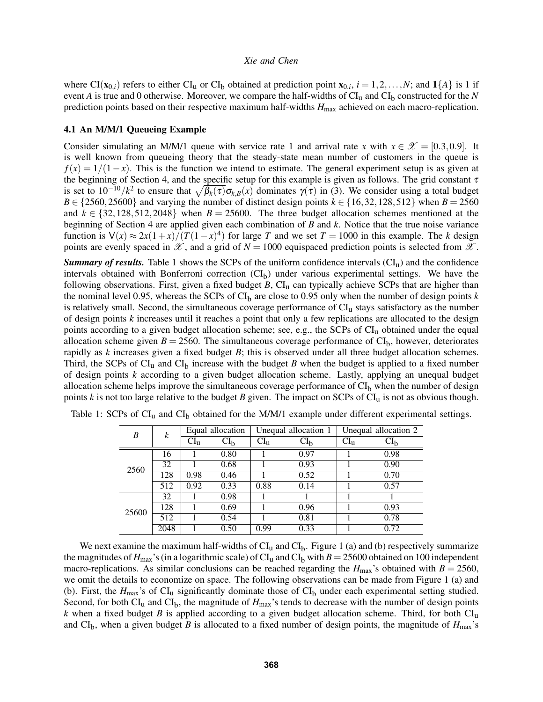where  $CI(\mathbf{x}_{0,i})$  refers to either  $CI_u$  or  $CI_b$  obtained at prediction point  $\mathbf{x}_{0,i}$ ,  $i = 1,2,...,N$ ; and  $1\{A\}$  is 1 if event *A* is true and 0 otherwise. Moreover, we compare the half-widths of  $CI_u$  and  $CI_b$  constructed for the *N* prediction points based on their respective maximum half-widths *H*max achieved on each macro-replication.

### 4.1 An M/M/1 Queueing Example

Consider simulating an M/M/1 queue with service rate 1 and arrival rate *x* with  $x \in \mathcal{X} = [0.3, 0.9]$ . It is well known from queueing theory that the steady-state mean number of customers in the queue is  $f(x) = 1/(1-x)$ . This is the function we intend to estimate. The general experiment setup is as given at the beginning of Section [4,](#page-6-0) and the specific setup for this example is given as follows. The grid constant  $\tau$ is set to  $10^{-10}/k^2$  to ensure that  $\sqrt{\beta_k(\tau)}\sigma_{k,B}(x)$  dominates  $\gamma(\tau)$  in [\(3\)](#page-2-1). We consider using a total budget  $B \in \{2560, 25600\}$  and varying the number of distinct design points  $k \in \{16, 32, 128, 512\}$  when  $B = 2560$ and  $k \in \{32, 128, 512, 2048\}$  when  $B = 25600$ . The three budget allocation schemes mentioned at the beginning of Section [4](#page-6-0) are applied given each combination of *B* and *k*. Notice that the true noise variance function is  $\sqrt{(x)} \approx \frac{2x(1+x)}{T(1-x)^4}$  for large *T* and we set  $T = 1000$  in this example. The *k* design points are evenly spaced in  $\mathscr X$ , and a grid of  $N = 1000$  equispaced prediction points is selected from  $\mathscr X$ .

*Summary of results.* Table [1](#page-7-0) shows the SCPs of the uniform confidence intervals  $(Cl<sub>u</sub>)$  and the confidence intervals obtained with Bonferroni correction  $\overline{\text{CI}}_b$  under various experimental settings. We have the following observations. First, given a fixed budget  $B$ ,  $CI<sub>u</sub>$  can typically achieve SCPs that are higher than the nominal level 0.95, whereas the SCPs of  $CI<sub>b</sub>$  are close to 0.95 only when the number of design points  $k$ is relatively small. Second, the simultaneous coverage performance of  $CI<sub>u</sub>$  stays satisfactory as the number of design points *k* increases until it reaches a point that only a few replications are allocated to the design points according to a given budget allocation scheme; see, e.g., the SCPs of CIu obtained under the equal allocation scheme given  $B = 2560$ . The simultaneous coverage performance of  $CI<sub>b</sub>$ , however, deteriorates rapidly as *k* increases given a fixed budget *B*; this is observed under all three budget allocation schemes. Third, the SCPs of  $CI_u$  and  $CI_b$  increase with the budget *B* when the budget is applied to a fixed number of design points *k* according to a given budget allocation scheme. Lastly, applying an unequal budget allocation scheme helps improve the simultaneous coverage performance of  $CI<sub>b</sub>$  when the number of design points  $k$  is not too large relative to the budget  $B$  given. The impact on SCPs of  $CI<sub>u</sub>$  is not as obvious though.

<span id="page-7-0"></span>

| B     | k    | Equal allocation |               | Unequal allocation 1 |                 | Unequal allocation 2 |                 |
|-------|------|------------------|---------------|----------------------|-----------------|----------------------|-----------------|
|       |      | $CI_{u}$         | $\rm{CI}_{b}$ | $CI_{u}$             | CI <sub>b</sub> | $CI_{u}$             | CI <sub>b</sub> |
| 2560  | 16   |                  | 0.80          |                      | 0.97            |                      | 0.98            |
|       | 32   |                  | 0.68          |                      | 0.93            |                      | 0.90            |
|       | 128  | 0.98             | 0.46          |                      | 0.52            |                      | 0.70            |
|       | 512  | 0.92             | 0.33          | 0.88                 | 0.14            |                      | 0.57            |
| 25600 | 32   |                  | 0.98          |                      |                 |                      |                 |
|       | 128  |                  | 0.69          |                      | 0.96            |                      | 0.93            |
|       | 512  |                  | 0.54          |                      | 0.81            |                      | 0.78            |
|       | 2048 |                  | 0.50          | 0.99                 | 0.33            |                      | 0.72            |

Table 1: SCPs of  $CI_u$  and  $CI_b$  obtained for the M/M/1 example under different experimental settings.

We next examine the maximum half-widths of  $CI_u$  and  $CI_b$ . Figure [1](#page-8-0) (a) and (b) respectively summarize the magnitudes of  $H_{\text{max}}$ 's (in a logarithmic scale) of CI<sub>u</sub> and CI<sub>b</sub> with  $B = 25600$  obtained on 100 independent macro-replications. As similar conclusions can be reached regarding the  $H_{\text{max}}$ 's obtained with  $B = 2560$ , we omit the details to economize on space. The following observations can be made from Figure [1](#page-8-0) (a) and (b). First, the  $H_{\text{max}}$ 's of CI<sub>u</sub> significantly dominate those of CI<sub>b</sub> under each experimental setting studied. Second, for both  $CI_u$  and  $CI_b$ , the magnitude of  $H_{\text{max}}$ 's tends to decrease with the number of design points *k* when a fixed budget *B* is applied according to a given budget allocation scheme. Third, for both CIu and CI<sub>b</sub>, when a given budget *B* is allocated to a fixed number of design points, the magnitude of  $H_{\text{max}}$ 's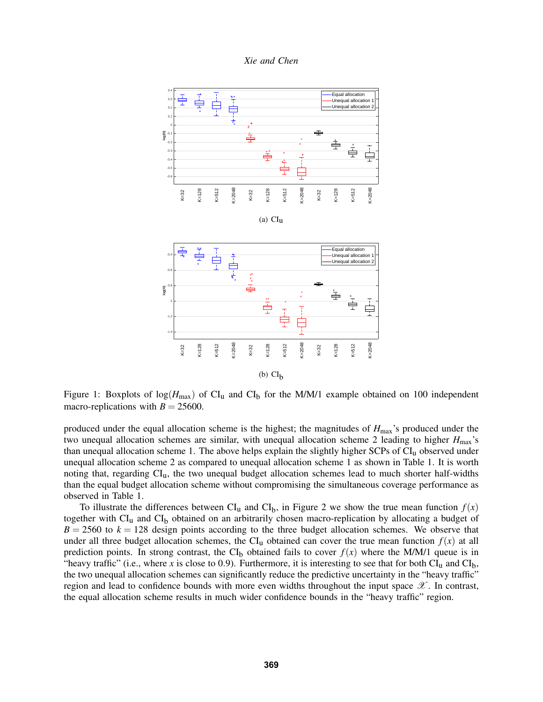



<span id="page-8-0"></span>Figure 1: Boxplots of  $log(H_{max})$  of CI<sub>u</sub> and CI<sub>b</sub> for the M/M/1 example obtained on 100 independent macro-replications with  $B = 25600$ .

produced under the equal allocation scheme is the highest; the magnitudes of *H*max's produced under the two unequal allocation schemes are similar, with unequal allocation scheme 2 leading to higher *H*max's than unequal allocation scheme 1. The above helps explain the slightly higher SCPs of CIu observed under unequal allocation scheme 2 as compared to unequal allocation scheme 1 as shown in Table [1.](#page-7-0) It is worth noting that, regarding CIu, the two unequal budget allocation schemes lead to much shorter half-widths than the equal budget allocation scheme without compromising the simultaneous coverage performance as observed in Table [1.](#page-7-0)

To illustrate the differences between  $CI_u$  and  $CI_b$ , in Figure [2](#page-9-0) we show the true mean function  $f(x)$ together with  $CI_u$  and  $CI_b$  obtained on an arbitrarily chosen macro-replication by allocating a budget of  $B = 2560$  to  $k = 128$  design points according to the three budget allocation schemes. We observe that under all three budget allocation schemes, the CI<sub>u</sub> obtained can cover the true mean function  $f(x)$  at all prediction points. In strong contrast, the CI<sub>b</sub> obtained fails to cover  $f(x)$  where the M/M/1 queue is in "heavy traffic" (i.e., where *x* is close to 0.9). Furthermore, it is interesting to see that for both  $CI_u$  and  $CI_b$ , the two unequal allocation schemes can significantly reduce the predictive uncertainty in the "heavy traffic" region and lead to confidence bounds with more even widths throughout the input space  $\mathscr{X}$ . In contrast, the equal allocation scheme results in much wider confidence bounds in the "heavy traffic" region.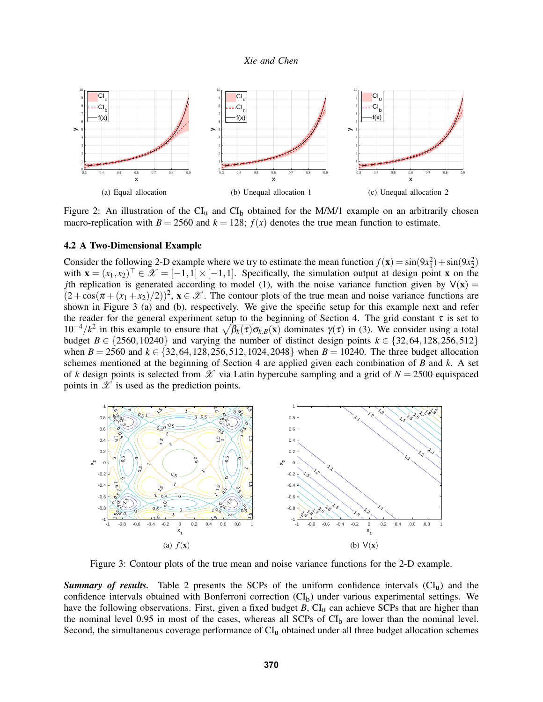

<span id="page-9-0"></span>Figure 2: An illustration of the  $CI_u$  and  $CI_b$  obtained for the M/M/1 example on an arbitrarily chosen macro-replication with  $B = 2560$  and  $k = 128$ ;  $f(x)$  denotes the true mean function to estimate.

#### 4.2 A Two-Dimensional Example

Consider the following 2-D example where we try to estimate the mean function  $f(\mathbf{x}) = \sin(9x_1^2) + \sin(9x_2^2)$ with  $\mathbf{x} = (x_1, x_2)^\top \in \mathcal{X} = [-1, 1] \times [-1, 1]$ . Specifically, the simulation output at design point **x** on the *j*th replication is generated according to model [\(1\)](#page-1-2), with the noise variance function given by  $V(x)$  =  $(2 + \cos(\pi + (x_1 + x_2)/2))^2$ ,  $\mathbf{x} \in \mathcal{X}$ . The contour plots of the true mean and noise variance functions are shown in Figure [3](#page-9-1) (a) and (b), respectively. We give the specific setup for this example next and refer the reader for the general experiment setup to the beginning of Section [4.](#page-6-0) The grid constant  $\tau$  is set to 10<sup>-4</sup>/*k*<sup>2</sup> in this example to ensure that  $\sqrt{\beta_k(\tau)}\sigma_{k,B}(\mathbf{x})$  dominates γ(τ) in [\(3\)](#page-2-1). We consider using a total budget *B* ∈ {2560,10240} and varying the number of distinct design points  $k \in \{32, 64, 128, 256, 512\}$ when  $B = 2560$  and  $k \in \{32, 64, 128, 256, 512, 1024, 2048\}$  when  $B = 10240$ . The three budget allocation schemes mentioned at the beginning of Section [4](#page-6-0) are applied given each combination of *B* and *k*. A set of *k* design points is selected from  $\mathcal{X}$  via Latin hypercube sampling and a grid of  $N = 2500$  equispaced points in  $\mathscr X$  is used as the prediction points.



<span id="page-9-1"></span>Figure 3: Contour plots of the true mean and noise variance functions for the 2-D example.

*Summary of results.* Table [2](#page-10-0) presents the SCPs of the uniform confidence intervals  $(Cl<sub>u</sub>)$  and the confidence intervals obtained with Bonferroni correction  $(Cl_b)$  under various experimental settings. We have the following observations. First, given a fixed budget *B*, CI<sub>u</sub> can achieve SCPs that are higher than the nominal level 0.95 in most of the cases, whereas all SCPs of  $CI<sub>b</sub>$  are lower than the nominal level. Second, the simultaneous coverage performance of  $CI_u$  obtained under all three budget allocation schemes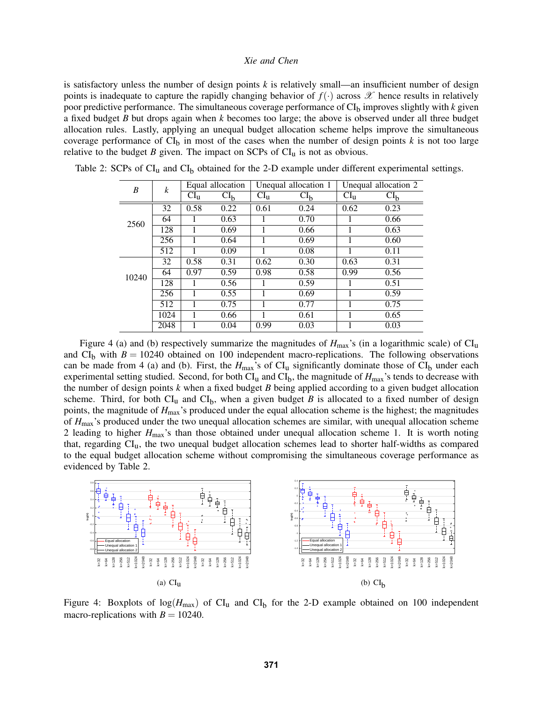is satisfactory unless the number of design points *k* is relatively small—an insufficient number of design points is inadequate to capture the rapidly changing behavior of  $f(\cdot)$  across  $\mathscr X$  hence results in relatively poor predictive performance. The simultaneous coverage performance of  $CI<sub>b</sub>$  improves slightly with  $k$  given a fixed budget *B* but drops again when *k* becomes too large; the above is observed under all three budget allocation rules. Lastly, applying an unequal budget allocation scheme helps improve the simultaneous coverage performance of  $CI_b$  in most of the cases when the number of design points  $k$  is not too large relative to the budget *B* given. The impact on SCPs of  $CI<sub>u</sub>$  is not as obvious.

<span id="page-10-0"></span>

| B     | k    | Equal allocation |                 | Unequal allocation 1 |                 | Unequal allocation 2 |                 |
|-------|------|------------------|-----------------|----------------------|-----------------|----------------------|-----------------|
|       |      | $CI_{u}$         | CI <sub>b</sub> | CI <sub>u</sub>      | CI <sub>b</sub> | CI <sub>u</sub>      | CI <sub>b</sub> |
| 2560  | 32   | 0.58             | 0.22            | 0.61                 | 0.24            | 0.62                 | 0.23            |
|       | 64   |                  | 0.63            |                      | 0.70            |                      | 0.66            |
|       | 128  |                  | 0.69            |                      | 0.66            |                      | 0.63            |
|       | 256  |                  | 0.64            |                      | 0.69            |                      | 0.60            |
|       | 512  |                  | 0.09            |                      | 0.08            |                      | 0.11            |
| 10240 | 32   | 0.58             | 0.31            | 0.62                 | 0.30            | 0.63                 | 0.31            |
|       | 64   | 0.97             | 0.59            | 0.98                 | 0.58            | 0.99                 | 0.56            |
|       | 128  |                  | 0.56            |                      | 0.59            |                      | 0.51            |
|       | 256  |                  | 0.55            |                      | 0.69            |                      | 0.59            |
|       | 512  | 1                | 0.75            |                      | 0.77            |                      | 0.75            |
|       | 1024 | 1                | 0.66            |                      | 0.61            |                      | 0.65            |
|       | 2048 |                  | 0.04            | 0.99                 | 0.03            |                      | 0.03            |

Table 2: SCPs of  $CI_u$  and  $CI_b$  obtained for the 2-D example under different experimental settings.

Figure [4](#page-10-1) (a) and (b) respectively summarize the magnitudes of  $H_{\text{max}}$ 's (in a logarithmic scale) of CI<sub>u</sub> and  $CI<sub>b</sub>$  with  $B = 10240$  obtained on 100 independent macro-replications. The following observations can be made from [4](#page-10-1) (a) and (b). First, the  $H_{\text{max}}$ 's of CI<sub>u</sub> significantly dominate those of CI<sub>b</sub> under each experimental setting studied. Second, for both  $CI_u$  and  $CI_b$ , the magnitude of  $H_{\text{max}}$ 's tends to decrease with the number of design points *k* when a fixed budget *B* being applied according to a given budget allocation scheme. Third, for both  $CI_u$  and  $CI_b$ , when a given budget *B* is allocated to a fixed number of design points, the magnitude of *H*max's produced under the equal allocation scheme is the highest; the magnitudes of *H*max's produced under the two unequal allocation schemes are similar, with unequal allocation scheme 2 leading to higher *H*max's than those obtained under unequal allocation scheme 1. It is worth noting that, regarding CIu, the two unequal budget allocation schemes lead to shorter half-widths as compared to the equal budget allocation scheme without compromising the simultaneous coverage performance as evidenced by Table [2.](#page-10-0)



<span id="page-10-1"></span>Figure 4: Boxplots of  $log(H_{max})$  of  $Cl_u$  and  $Cl_b$  for the 2-D example obtained on 100 independent macro-replications with  $B = 10240$ .